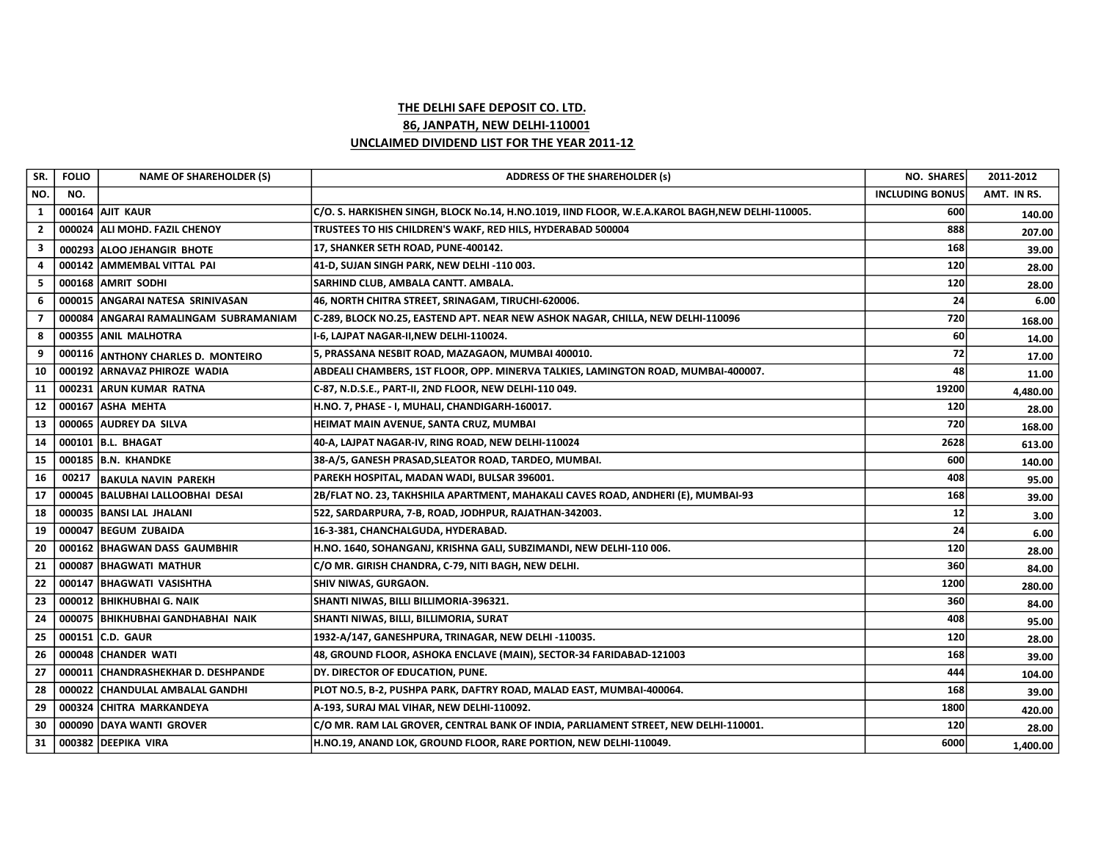## THE DELHI SAFE DEPOSIT CO. LTD. 86, JANPATH, NEW DELHI-110001 UNCLAIMED DIVIDEND LIST FOR THE YEAR 2011-12

| SR.            | <b>FOLIO</b> | <b>NAME OF SHAREHOLDER (S)</b>        | <b>ADDRESS OF THE SHAREHOLDER (s)</b>                                                           | <b>NO. SHARES</b>      | 2011-2012   |
|----------------|--------------|---------------------------------------|-------------------------------------------------------------------------------------------------|------------------------|-------------|
| NO.            | NO.          |                                       |                                                                                                 | <b>INCLUDING BONUS</b> | AMT. IN RS. |
| <sup>1</sup>   |              | <b>000164 AJIT KAUR</b>               | C/O. S. HARKISHEN SINGH, BLOCK No.14, H.NO.1019, IIND FLOOR, W.E.A.KAROL BAGH,NEW DELHI-110005. | 600                    | 140.00      |
| $\overline{2}$ |              | 000024 ALI MOHD. FAZIL CHENOY         | TRUSTEES TO HIS CHILDREN'S WAKF, RED HILS, HYDERABAD 500004                                     | 888                    | 207.00      |
| 3              |              | 000293 ALOO JEHANGIR BHOTE            | 17, SHANKER SETH ROAD, PUNE-400142.                                                             | 168                    | 39.00       |
| 4              |              | 000142 AMMEMBAL VITTAL PAI            | 41-D, SUJAN SINGH PARK, NEW DELHI -110 003.                                                     | 120                    | 28.00       |
| 5              |              | 000168 AMRIT SODHI                    | SARHIND CLUB, AMBALA CANTT. AMBALA.                                                             | 120                    | 28.00       |
| 6              |              | 000015 ANGARAI NATESA SRINIVASAN      | 46, NORTH CHITRA STREET, SRINAGAM, TIRUCHI-620006.                                              | 24                     | 6.00        |
| 7              |              | 000084 ANGARAI RAMALINGAM SUBRAMANIAM | C-289, BLOCK NO.25, EASTEND APT. NEAR NEW ASHOK NAGAR, CHILLA, NEW DELHI-110096                 | 720                    | 168.00      |
| 8              |              | 000355 ANIL MALHOTRA                  | I-6, LAJPAT NAGAR-II,NEW DELHI-110024.                                                          | 60                     | 14.00       |
| 9              |              | 000116 ANTHONY CHARLES D. MONTEIRO    | 5, PRASSANA NESBIT ROAD, MAZAGAON, MUMBAI 400010.                                               | 72                     | 17.00       |
| 10             |              | 000192 ARNAVAZ PHIROZE WADIA          | ABDEALI CHAMBERS, 1ST FLOOR, OPP. MINERVA TALKIES, LAMINGTON ROAD, MUMBAI-400007.               | 48                     | 11.00       |
| 11             |              | 000231 ARUN KUMAR RATNA               | C-87, N.D.S.E., PART-II, 2ND FLOOR, NEW DELHI-110 049.                                          | 19200                  | 4,480.00    |
| 12             |              | 000167 ASHA MEHTA                     | H.NO. 7, PHASE - I, MUHALI, CHANDIGARH-160017.                                                  | 120                    | 28.00       |
| 13             |              | 000065 AUDREY DA SILVA                | HEIMAT MAIN AVENUE, SANTA CRUZ, MUMBAI                                                          | 720                    | 168.00      |
| 14             |              | 000101 B.L. BHAGAT                    | 40-A, LAJPAT NAGAR-IV, RING ROAD, NEW DELHI-110024                                              | 2628                   | 613.00      |
| 15             |              | 000185 B.N. KHANDKE                   | 38-A/5, GANESH PRASAD, SLEATOR ROAD, TARDEO, MUMBAI.                                            | 600                    | 140.00      |
| 16             | 00217        | BAKULA NAVIN PAREKH                   | PAREKH HOSPITAL, MADAN WADI, BULSAR 396001.                                                     | 408                    | 95.00       |
| 17             |              | 000045 BALUBHAI LALLOOBHAI DESAI      | 2B/FLAT NO. 23, TAKHSHILA APARTMENT, MAHAKALI CAVES ROAD, ANDHERI (E), MUMBAI-93                | 168                    | 39.00       |
| 18             |              | 000035   BANSI LAL JHALANI            | 522, SARDARPURA, 7-B, ROAD, JODHPUR, RAJATHAN-342003.                                           | 12                     | 3.00        |
| 19             |              | 000047 BEGUM ZUBAIDA                  | 16-3-381, CHANCHALGUDA, HYDERABAD.                                                              | 24                     | 6.00        |
| 20             |              | 000162 BHAGWAN DASS GAUMBHIR          | H.NO. 1640, SOHANGANJ, KRISHNA GALI, SUBZIMANDI, NEW DELHI-110 006.                             | 120                    | 28.00       |
| 21             |              | 000087 BHAGWATI MATHUR                | C/O MR. GIRISH CHANDRA, C-79, NITI BAGH, NEW DELHI.                                             | 360                    | 84.00       |
| 22             |              | 000147   BHAGWATI VASISHTHA           | <b>SHIV NIWAS, GURGAON.</b>                                                                     | 1200                   | 280.00      |
| 23             |              | 000012 BHIKHUBHAI G. NAIK             | SHANTI NIWAS, BILLI BILLIMORIA-396321.                                                          | 360                    | 84.00       |
| 24             |              | 000075   BHIKHUBHAI GANDHABHAI NAIK   | SHANTI NIWAS, BILLI, BILLIMORIA, SURAT                                                          | 408                    | 95.00       |
| 25             |              | 000151 C.D. GAUR                      | 1932-A/147, GANESHPURA, TRINAGAR, NEW DELHI -110035.                                            | 120                    | 28.00       |
| 26             |              | 000048 CHANDER WATI                   | 48, GROUND FLOOR, ASHOKA ENCLAVE (MAIN), SECTOR-34 FARIDABAD-121003                             | 168                    | 39.00       |
| 27             |              | 000011 CHANDRASHEKHAR D. DESHPANDE    | DY. DIRECTOR OF EDUCATION, PUNE.                                                                | 444                    | 104.00      |
| 28             |              | 000022 CHANDULAL AMBALAL GANDHI       | PLOT NO.5, B-2, PUSHPA PARK, DAFTRY ROAD, MALAD EAST, MUMBAI-400064.                            | 168                    | 39.00       |
| 29             |              | 000324 CHITRA MARKANDEYA              | A-193, SURAJ MAL VIHAR, NEW DELHI-110092.                                                       | 1800                   | 420.00      |
| 30             |              | 000090 DAYA WANTI GROVER              | C/O MR. RAM LAL GROVER, CENTRAL BANK OF INDIA, PARLIAMENT STREET, NEW DELHI-110001.             | 120                    | 28.00       |
| 31             |              | 000382 DEEPIKA VIRA                   | H.NO.19, ANAND LOK, GROUND FLOOR, RARE PORTION, NEW DELHI-110049.                               | 6000                   | 1,400.00    |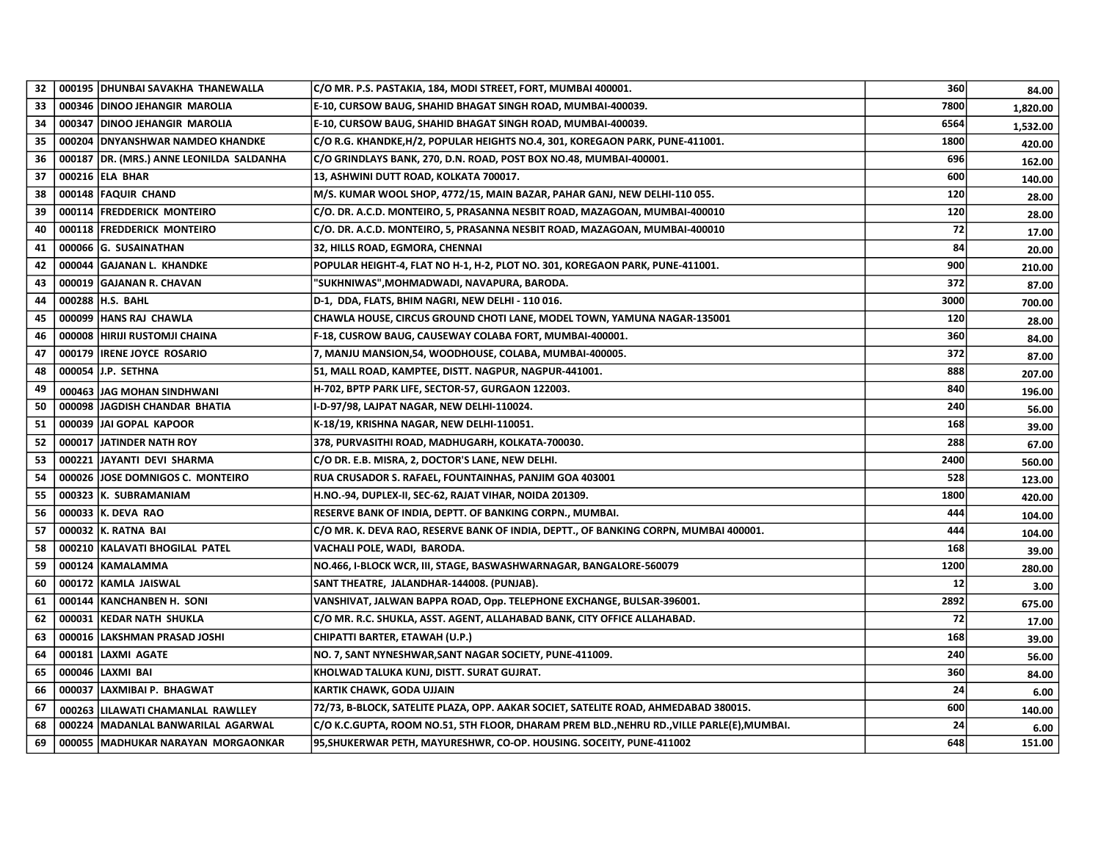| 32  |        | 000195 DHUNBAI SAVAKHA THANEWALLA         | C/O MR. P.S. PASTAKIA, 184, MODI STREET, FORT, MUMBAI 400001.                              | 360  | 84.00    |
|-----|--------|-------------------------------------------|--------------------------------------------------------------------------------------------|------|----------|
| 33  |        | 000346 DINOO JEHANGIR MAROLIA             | E-10, CURSOW BAUG, SHAHID BHAGAT SINGH ROAD, MUMBAI-400039.                                | 7800 | 1,820.00 |
| 34  |        | 000347 DINOO JEHANGIR MAROLIA             | E-10, CURSOW BAUG, SHAHID BHAGAT SINGH ROAD, MUMBAI-400039.                                | 6564 | 1,532.00 |
| 35  |        | 000204 DNYANSHWAR NAMDEO KHANDKE          | C/O R.G. KHANDKE,H/2, POPULAR HEIGHTS NO.4, 301, KOREGAON PARK, PUNE-411001.               | 1800 | 420.00   |
| 36  |        | 000187  DR. (MRS.) ANNE LEONILDA SALDANHA | C/O GRINDLAYS BANK, 270, D.N. ROAD, POST BOX NO.48, MUMBAI-400001.                         | 696  | 162.00   |
| 37  |        | 000216 ELA BHAR                           | 13, ASHWINI DUTT ROAD, KOLKATA 700017.                                                     | 600  | 140.00   |
| 38  |        | 000148 FAQUIR CHAND                       | M/S. KUMAR WOOL SHOP, 4772/15, MAIN BAZAR, PAHAR GANJ, NEW DELHI-110 055.                  | 120  | 28.00    |
| 39  |        | 000114 FREDDERICK MONTEIRO                | C/O. DR. A.C.D. MONTEIRO, 5, PRASANNA NESBIT ROAD, MAZAGOAN, MUMBAI-400010                 | 120  | 28.00    |
| 40  |        | 000118 FREDDERICK MONTEIRO                | C/O. DR. A.C.D. MONTEIRO, 5, PRASANNA NESBIT ROAD, MAZAGOAN, MUMBAI-400010                 | 72   | 17.00    |
| 41  |        | 000066 G. SUSAINATHAN                     | 32, HILLS ROAD, EGMORA, CHENNAI                                                            | 84   | 20.00    |
| 42  |        | 000044 GAJANAN L. KHANDKE                 | POPULAR HEIGHT-4, FLAT NO H-1, H-2, PLOT NO. 301, KOREGAON PARK, PUNE-411001.              | 900  | 210.00   |
| 43  |        | 000019 GAJANAN R. CHAVAN                  | "SUKHNIWAS",MOHMADWADI, NAVAPURA, BARODA.                                                  | 372  | 87.00    |
| 44  |        | 000288   H.S. BAHL                        | D-1, DDA, FLATS, BHIM NAGRI, NEW DELHI - 110 016.                                          | 3000 | 700.00   |
| 45  |        | 000099 HANS RAJ CHAWLA                    | CHAWLA HOUSE, CIRCUS GROUND CHOTI LANE, MODEL TOWN, YAMUNA NAGAR-135001                    | 120  | 28.00    |
| 46  |        | 000008  HIRIJI RUSTOMJI CHAINA            | F-18, CUSROW BAUG, CAUSEWAY COLABA FORT, MUMBAI-400001.                                    | 360  | 84.00    |
| 47  | 000179 | <b>IRENE JOYCE ROSARIO</b>                | 7, MANJU MANSION, 54, WOODHOUSE, COLABA, MUMBAI-400005.                                    | 372  | 87.00    |
| 48  | 000054 | J.P. SETHNA                               | 51, MALL ROAD, KAMPTEE, DISTT. NAGPUR, NAGPUR-441001.                                      | 888  | 207.00   |
| 49  |        | 000463 JAG MOHAN SINDHWANI                | H-702, BPTP PARK LIFE, SECTOR-57, GURGAON 122003.                                          | 840  | 196.00   |
| 50  |        | 000098 JAGDISH CHANDAR BHATIA             | I-D-97/98, LAJPAT NAGAR, NEW DELHI-110024.                                                 | 240  | 56.00    |
| 51  |        | 000039 JJAI GOPAL KAPOOR                  | K-18/19, KRISHNA NAGAR, NEW DELHI-110051.                                                  | 168  | 39.00    |
| 52  | 000017 | <b>JATINDER NATH ROY</b>                  | 378, PURVASITHI ROAD, MADHUGARH, KOLKATA-700030.                                           | 288  | 67.00    |
| 53  | 000221 | JAYANTI DEVI SHARMA                       | C/O DR. E.B. MISRA, 2, DOCTOR'S LANE, NEW DELHI.                                           | 2400 | 560.00   |
| 54  | 000026 | <b>JOSE DOMNIGOS C. MONTEIRO</b>          | RUA CRUSADOR S. RAFAEL, FOUNTAINHAS, PANJIM GOA 403001                                     | 528  | 123.00   |
| 55  |        | 000323 K. SUBRAMANIAM                     | H.NO.-94, DUPLEX-II, SEC-62, RAJAT VIHAR, NOIDA 201309.                                    | 1800 | 420.00   |
| 56  |        | 000033 K. DEVA RAO                        | RESERVE BANK OF INDIA, DEPTT. OF BANKING CORPN., MUMBAI.                                   | 444  | 104.00   |
| -57 |        | 000032 K. RATNA BAI                       | C/O MR. K. DEVA RAO, RESERVE BANK OF INDIA, DEPTT., OF BANKING CORPN, MUMBAI 400001.       | 444  | 104.00   |
| 58  |        | 000210   KALAVATI BHOGILAL PATEL          | VACHALI POLE, WADI, BARODA.                                                                | 168  | 39.00    |
| 59  |        | 000124 KAMALAMMA                          | NO.466, I-BLOCK WCR, III, STAGE, BASWASHWARNAGAR, BANGALORE-560079                         | 1200 | 280.00   |
| 60  |        | 000172 KAMLA JAISWAL                      | SANT THEATRE, JALANDHAR-144008. (PUNJAB).                                                  | 12   | 3.00     |
| 61  | 000144 | <b>KANCHANBEN H. SONI</b>                 | VANSHIVAT, JALWAN BAPPA ROAD, Opp. TELEPHONE EXCHANGE, BULSAR-396001.                      | 2892 | 675.00   |
| 62  | 000031 | KEDAR NATH SHUKLA                         | C/O MR. R.C. SHUKLA, ASST. AGENT, ALLAHABAD BANK, CITY OFFICE ALLAHABAD.                   | 72   | 17.00    |
| 63  | 000016 | LAKSHMAN PRASAD JOSHI                     | CHIPATTI BARTER, ETAWAH (U.P.)                                                             | 168  | 39.00    |
| 64  | 000181 | LAXMI AGATE                               | NO. 7, SANT NYNESHWAR, SANT NAGAR SOCIETY, PUNE-411009.                                    | 240  | 56.00    |
| 65  | 000046 | LAXMI BAI                                 | KHOLWAD TALUKA KUNJ, DISTT. SURAT GUJRAT.                                                  | 360  | 84.00    |
| 66  | 000037 | LAXMIBAI P. BHAGWAT                       | KARTIK CHAWK, GODA UJJAIN                                                                  | 24   | 6.00     |
| 67  |        | 000263  LILAWATI CHAMANLAL RAWLLEY        | 72/73, B-BLOCK, SATELITE PLAZA, OPP. AAKAR SOCIET, SATELITE ROAD, AHMEDABAD 380015.        | 600  | 140.00   |
| 68  |        | 000224   MADANLAL BANWARILAL AGARWAL      | C/O K.C.GUPTA, ROOM NO.51, 5TH FLOOR, DHARAM PREM BLD., NEHRU RD., VILLE PARLE(E), MUMBAI. | 24   | 6.00     |
| 69  |        | 000055   MADHUKAR NARAYAN MORGAONKAR      | 95, SHUKERWAR PETH, MAYURESHWR, CO-OP. HOUSING. SOCEITY, PUNE-411002                       | 648  | 151.00   |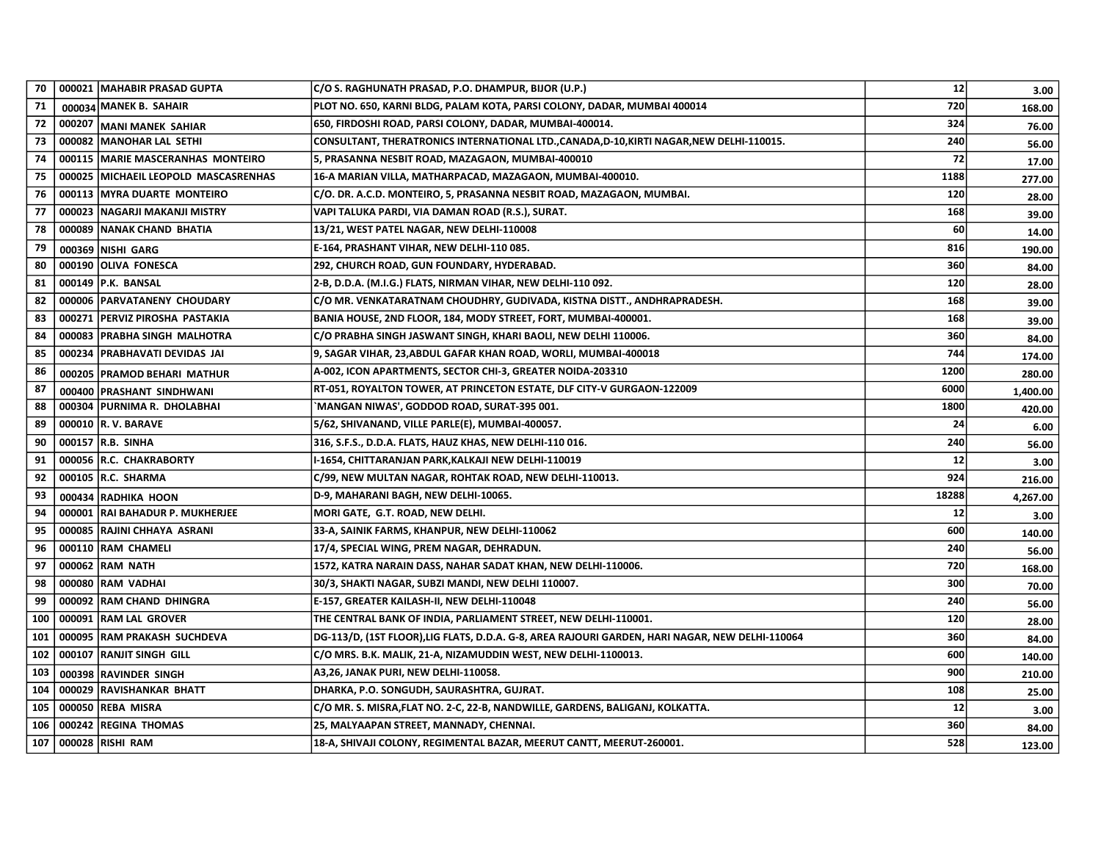| 70  |        | 000021   MAHABIR PRASAD GUPTA        | C/O S. RAGHUNATH PRASAD, P.O. DHAMPUR, BIJOR (U.P.)                                            | 12    | 3.00     |
|-----|--------|--------------------------------------|------------------------------------------------------------------------------------------------|-------|----------|
| 71  |        | 000034 MANEK B. SAHAIR               | PLOT NO. 650, KARNI BLDG, PALAM KOTA, PARSI COLONY, DADAR, MUMBAI 400014                       | 720   | 168.00   |
| 72  | 000207 | MANI MANEK SAHIAR                    | 650, FIRDOSHI ROAD, PARSI COLONY, DADAR, MUMBAI-400014.                                        | 324   | 76.00    |
| 73  | 000082 | MANOHAR LAL SETHI                    | CONSULTANT, THERATRONICS INTERNATIONAL LTD.,CANADA,D-10,KIRTI NAGAR,NEW DELHI-110015.          | 240   | 56.00    |
| 74  |        | 000115 MARIE MASCERANHAS MONTEIRO    | 5, PRASANNA NESBIT ROAD, MAZAGAON, MUMBAI-400010                                               | 72    | 17.00    |
| 75  |        | 000025 MICHAEIL LEOPOLD MASCASRENHAS | 16-A MARIAN VILLA, MATHARPACAD, MAZAGAON, MUMBAI-400010.                                       | 1188  | 277.00   |
| 76  |        | 000113 MYRA DUARTE MONTEIRO          | C/O. DR. A.C.D. MONTEIRO, 5, PRASANNA NESBIT ROAD, MAZAGAON, MUMBAI.                           | 120   | 28.00    |
| 77  |        | 000023 NAGARJI MAKANJI MISTRY        | VAPI TALUKA PARDI, VIA DAMAN ROAD (R.S.), SURAT.                                               | 168   | 39.00    |
| 78  |        | 000089   NANAK CHAND BHATIA          | 13/21, WEST PATEL NAGAR, NEW DELHI-110008                                                      | 60    | 14.00    |
| 79  |        | 000369 NISHI GARG                    | E-164, PRASHANT VIHAR, NEW DELHI-110 085.                                                      | 816   | 190.00   |
| 80  |        | 000190 OLIVA FONESCA                 | 292, CHURCH ROAD, GUN FOUNDARY, HYDERABAD.                                                     | 360   | 84.00    |
| 81  |        | 000149   P.K. BANSAL                 | 2-B, D.D.A. (M.I.G.) FLATS, NIRMAN VIHAR, NEW DELHI-110 092.                                   | 120   | 28.00    |
| 82  |        | 000006 PARVATANENY CHOUDARY          | C/O MR. VENKATARATNAM CHOUDHRY, GUDIVADA, KISTNA DISTT., ANDHRAPRADESH.                        | 168   | 39.00    |
| 83  | 000271 | <b>PERVIZ PIROSHA PASTAKIA</b>       | BANIA HOUSE, 2ND FLOOR, 184, MODY STREET, FORT, MUMBAI-400001.                                 | 168   | 39.00    |
| 84  | 000083 | <b>PRABHA SINGH MALHOTRA</b>         | C/O PRABHA SINGH JASWANT SINGH, KHARI BAOLI, NEW DELHI 110006.                                 | 360   | 84.00    |
| 85  | 000234 | PRABHAVATI DEVIDAS JAI               | 9, SAGAR VIHAR, 23,ABDUL GAFAR KHAN ROAD, WORLI, MUMBAI-400018                                 | 744   | 174.00   |
| 86  |        | 000205 PRAMOD BEHARI MATHUR          | A-002, ICON APARTMENTS, SECTOR CHI-3, GREATER NOIDA-203310                                     | 1200  | 280.00   |
| 87  | 000400 | <b>PRASHANT SINDHWANI</b>            | RT-051, ROYALTON TOWER, AT PRINCETON ESTATE, DLF CITY-V GURGAON-122009                         | 6000  | 1,400.00 |
| 88  |        | 000304 PURNIMA R. DHOLABHAI          | `MANGAN NIWAS', GODDOD ROAD, SURAT-395 001.                                                    | 1800  | 420.00   |
| 89  |        | 000010 R. V. BARAVE                  | 5/62, SHIVANAND, VILLE PARLE(E), MUMBAI-400057.                                                | 24    | 6.00     |
| 90  |        | 000157   R.B. SINHA                  | 316, S.F.S., D.D.A. FLATS, HAUZ KHAS, NEW DELHI-110 016.                                       | 240   | 56.00    |
| 91  |        | 000056 R.C. CHAKRABORTY              | I-1654, CHITTARANJAN PARK,KALKAJI NEW DELHI-110019                                             | 12    | 3.00     |
| 92  |        | 000105 R.C. SHARMA                   | C/99, NEW MULTAN NAGAR, ROHTAK ROAD, NEW DELHI-110013.                                         | 924   | 216.00   |
| 93  |        | 000434 RADHIKA HOON                  | D-9, MAHARANI BAGH, NEW DELHI-10065.                                                           | 18288 | 4,267.00 |
| 94  |        | 000001   RAI BAHADUR P. MUKHERJEE    | MORI GATE, G.T. ROAD, NEW DELHI.                                                               | 12    | 3.00     |
| 95  |        | 000085 RAJINI CHHAYA ASRANI          | 33-A, SAINIK FARMS, KHANPUR, NEW DELHI-110062                                                  | 600   | 140.00   |
| 96  |        | 000110 RAM CHAMELI                   | 17/4, SPECIAL WING, PREM NAGAR, DEHRADUN.                                                      | 240   | 56.00    |
| 97  |        | 000062 RAM NATH                      | 1572, KATRA NARAIN DASS, NAHAR SADAT KHAN, NEW DELHI-110006.                                   | 720   | 168.00   |
| 98  |        | 000080 RAM VADHAI                    | 30/3, SHAKTI NAGAR, SUBZI MANDI, NEW DELHI 110007.                                             | 300   | 70.00    |
| 99  |        | 000092 RAM CHAND DHINGRA             | E-157, GREATER KAILASH-II, NEW DELHI-110048                                                    | 240   | 56.00    |
| 100 |        | 000091 RAM LAL GROVER                | THE CENTRAL BANK OF INDIA, PARLIAMENT STREET, NEW DELHI-110001.                                | 120   | 28.00    |
| 101 |        | 000095 RAM PRAKASH SUCHDEVA          | DG-113/D, (1ST FLOOR),LIG FLATS, D.D.A. G-8, AREA RAJOURI GARDEN, HARI NAGAR, NEW DELHI-110064 | 360   | 84.00    |
| 102 |        | 000107 RANJIT SINGH GILL             | C/O MRS. B.K. MALIK, 21-A, NIZAMUDDIN WEST, NEW DELHI-1100013.                                 | 600   | 140.00   |
| 103 |        | 000398 RAVINDER SINGH                | A3,26, JANAK PURI, NEW DELHI-110058.                                                           | 900   | 210.00   |
| 104 |        | 000029 RAVISHANKAR BHATT             | DHARKA, P.O. SONGUDH, SAURASHTRA, GUJRAT.                                                      | 108   | 25.00    |
| 105 |        | 000050 REBA MISRA                    | C/O MR. S. MISRA,FLAT NO. 2-C, 22-B, NANDWILLE, GARDENS, BALIGANJ, KOLKATTA.                   | 12    | 3.00     |
| 106 |        | 000242 REGINA THOMAS                 | 25, MALYAAPAN STREET, MANNADY, CHENNAI.                                                        | 360   | 84.00    |
| 107 |        | 000028 RISHI RAM                     | 18-A, SHIVAJI COLONY, REGIMENTAL BAZAR, MEERUT CANTT, MEERUT-260001.                           | 528   | 123.00   |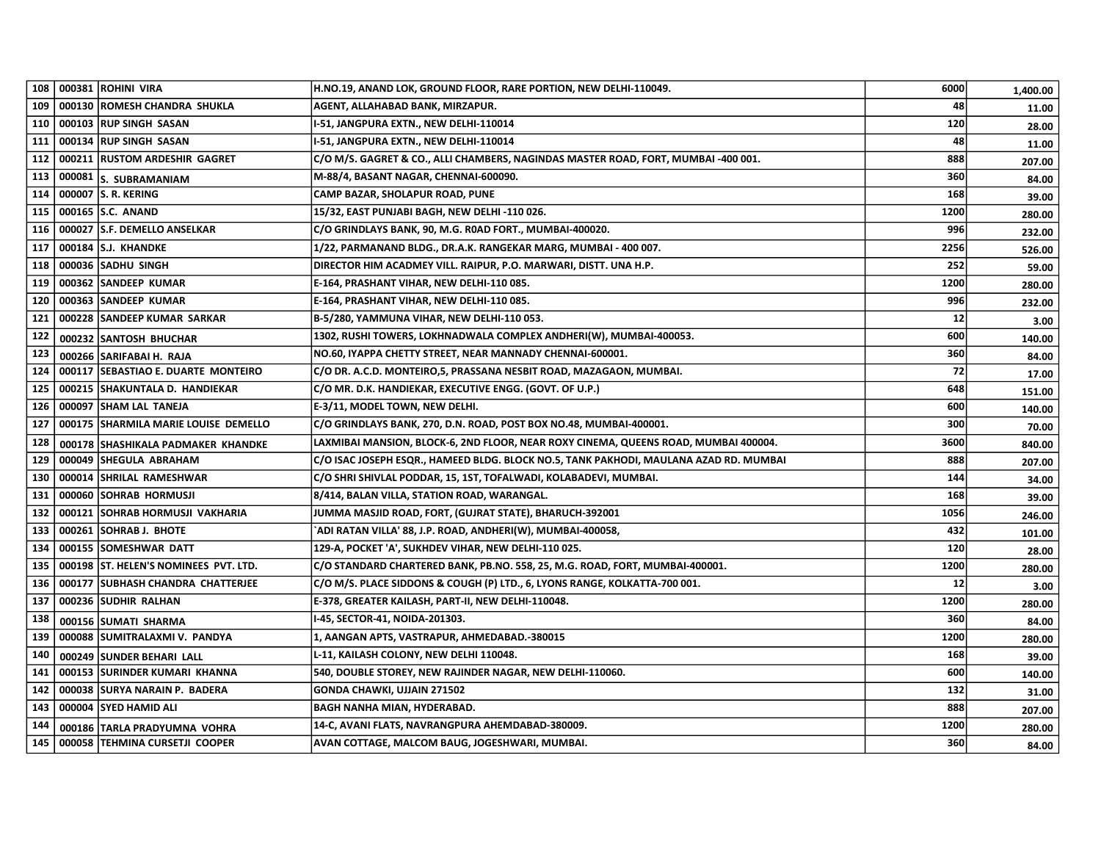| 108 |        | 000381 ROHINI VIRA                    | H.NO.19, ANAND LOK, GROUND FLOOR, RARE PORTION, NEW DELHI-110049.                     | 6000 | 1,400.00 |
|-----|--------|---------------------------------------|---------------------------------------------------------------------------------------|------|----------|
| 109 |        | 000130 ROMESH CHANDRA SHUKLA          | AGENT, ALLAHABAD BANK, MIRZAPUR.                                                      | 48   | 11.00    |
| 110 |        | 000103 RUP SINGH SASAN                | I-51, JANGPURA EXTN., NEW DELHI-110014                                                | 120  | 28.00    |
| 111 |        | 000134 RUP SINGH SASAN                | I-51, JANGPURA EXTN., NEW DELHI-110014                                                | 48   | 11.00    |
| 112 |        | 000211 RUSTOM ARDESHIR GAGRET         | C/O M/S. GAGRET & CO., ALLI CHAMBERS, NAGINDAS MASTER ROAD, FORT, MUMBAI -400 001.    | 888  | 207.00   |
| 113 |        | 000081 S. SUBRAMANIAM                 | M-88/4, BASANT NAGAR, CHENNAI-600090.                                                 | 360  | 84.00    |
| 114 |        | 000007   S. R. KERING                 | CAMP BAZAR, SHOLAPUR ROAD, PUNE                                                       | 168  | 39.00    |
| 115 |        | 000165 S.C. ANAND                     | 15/32, EAST PUNJABI BAGH, NEW DELHI -110 026.                                         | 1200 | 280.00   |
| 116 |        | 000027 S.F. DEMELLO ANSELKAR          | C/O GRINDLAYS BANK, 90, M.G. R0AD FORT., MUMBAI-400020.                               | 996  | 232.00   |
| 117 |        | 000184 S.J. KHANDKE                   | 1/22, PARMANAND BLDG., DR.A.K. RANGEKAR MARG, MUMBAI - 400 007.                       | 2256 | 526.00   |
| 118 |        | 000036 SADHU SINGH                    | DIRECTOR HIM ACADMEY VILL. RAIPUR, P.O. MARWARI, DISTT. UNA H.P.                      | 252  | 59.00    |
| 119 |        | 000362 SANDEEP KUMAR                  | E-164, PRASHANT VIHAR, NEW DELHI-110 085.                                             | 1200 | 280.00   |
| 120 |        | 000363 SANDEEP KUMAR                  | E-164, PRASHANT VIHAR, NEW DELHI-110 085.                                             | 996  | 232.00   |
| 121 | 000228 | <b>SANDEEP KUMAR SARKAR</b>           | B-5/280, YAMMUNA VIHAR, NEW DELHI-110 053.                                            | 12   | 3.00     |
| 122 |        | 000232 SANTOSH BHUCHAR                | 1302, RUSHI TOWERS, LOKHNADWALA COMPLEX ANDHERI(W), MUMBAI-400053.                    | 600  | 140.00   |
| 123 |        | 000266 SARIFABAI H. RAJA              | NO.60, IYAPPA CHETTY STREET, NEAR MANNADY CHENNAI-600001.                             | 360  | 84.00    |
| 124 |        | 000117 SEBASTIAO E. DUARTE MONTEIRO   | C/O DR. A.C.D. MONTEIRO, 5, PRASSANA NESBIT ROAD, MAZAGAON, MUMBAI.                   | 72   | 17.00    |
| 125 |        | 000215 SHAKUNTALA D. HANDIEKAR        | C/O MR. D.K. HANDIEKAR, EXECUTIVE ENGG. (GOVT. OF U.P.)                               | 648  | 151.00   |
| 126 |        | 000097 SHAM LAL TANEJA                | E-3/11, MODEL TOWN, NEW DELHI.                                                        | 600  | 140.00   |
| 127 | 000175 | SHARMILA MARIE LOUISE DEMELLO         | C/O GRINDLAYS BANK, 270, D.N. ROAD, POST BOX NO.48, MUMBAI-400001.                    | 300  | 70.00    |
| 128 |        | 000178 SHASHIKALA PADMAKER KHANDKE    | LAXMIBAI MANSION, BLOCK-6, 2ND FLOOR, NEAR ROXY CINEMA, QUEENS ROAD, MUMBAI 400004.   | 3600 | 840.00   |
| 129 |        | 000049 SHEGULA ABRAHAM                | C/O ISAC JOSEPH ESQR., HAMEED BLDG. BLOCK NO.5, TANK PAKHODI, MAULANA AZAD RD. MUMBAI | 888  | 207.00   |
| 130 |        | 000014 SHRILAL RAMESHWAR              | C/O SHRI SHIVLAL PODDAR, 15, 1ST, TOFALWADI, KOLABADEVI, MUMBAI.                      | 144  | 34.00    |
| 131 |        | 000060 SOHRAB HORMUSJI                | 8/414, BALAN VILLA, STATION ROAD, WARANGAL.                                           | 168  | 39.00    |
| 132 |        | 000121 SOHRAB HORMUSJI VAKHARIA       | JUMMA MASJID ROAD, FORT, (GUJRAT STATE), BHARUCH-392001                               | 1056 | 246.00   |
| 133 |        | 000261 SOHRAB J. BHOTE                | `ADI RATAN VILLA' 88, J.P. ROAD, ANDHERI(W), MUMBAI-400058,                           | 432  | 101.00   |
| 134 |        | 000155 SOMESHWAR DATT                 | 129-A, POCKET 'A', SUKHDEV VIHAR, NEW DELHI-110 025.                                  | 120  | 28.00    |
| 135 |        | 000198 ST. HELEN'S NOMINEES PVT. LTD. | C/O STANDARD CHARTERED BANK, PB.NO. 558, 25, M.G. ROAD, FORT, MUMBAI-400001.          | 1200 | 280.00   |
| 136 |        | 000177 SUBHASH CHANDRA CHATTERJEE     | C/O M/S. PLACE SIDDONS & COUGH (P) LTD., 6, LYONS RANGE, KOLKATTA-700 001.            | 12   | 3.00     |
| 137 |        | 000236 SUDHIR RALHAN                  | E-378, GREATER KAILASH, PART-II, NEW DELHI-110048.                                    | 1200 | 280.00   |
| 138 |        | 000156 SUMATI SHARMA                  | 1-45, SECTOR-41, NOIDA-201303.                                                        | 360  | 84.00    |
| 139 |        | 000088 SUMITRALAXMI V. PANDYA         | 1, AANGAN APTS, VASTRAPUR, AHMEDABAD.-380015                                          | 1200 | 280.00   |
| 140 |        | 000249 SUNDER BEHARI LALL             | L-11, KAILASH COLONY, NEW DELHI 110048.                                               | 168  | 39.00    |
| 141 |        | 000153 SURINDER KUMARI KHANNA         | 540, DOUBLE STOREY, NEW RAJINDER NAGAR, NEW DELHI-110060.                             | 600  | 140.00   |
| 142 |        | 000038 SURYA NARAIN P. BADERA         | GONDA CHAWKI, UJJAIN 271502                                                           | 132  | 31.00    |
| 143 |        | 000004 SYED HAMID ALI                 | BAGH NANHA MIAN, HYDERABAD.                                                           | 888  | 207.00   |
| 144 |        | 000186   TARLA PRADYUMNA VOHRA        | 14-C, AVANI FLATS, NAVRANGPURA AHEMDABAD-380009.                                      | 1200 | 280.00   |
| 145 |        | 000058 TEHMINA CURSETJI COOPER        | AVAN COTTAGE, MALCOM BAUG, JOGESHWARI, MUMBAI.                                        | 360  | 84.00    |